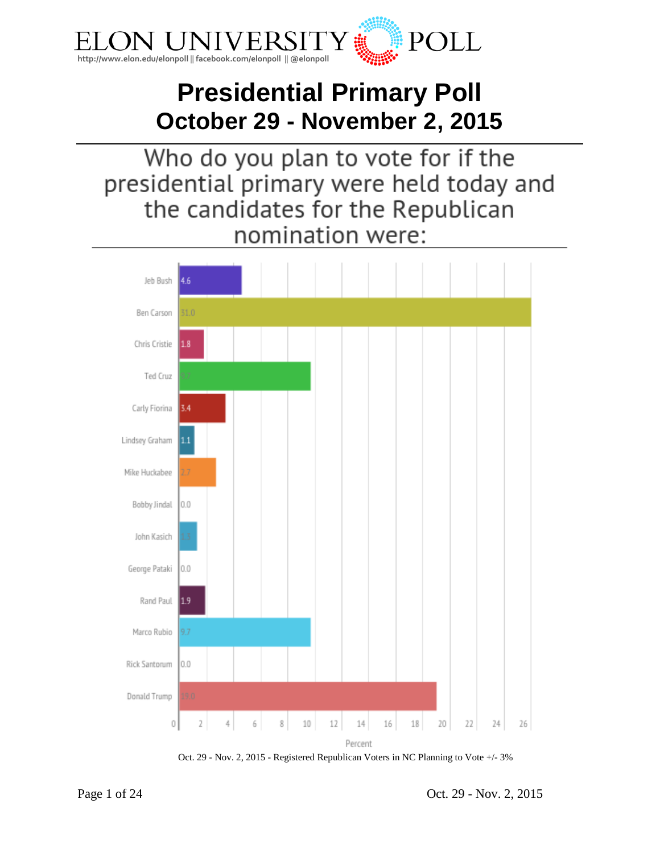

# **Presidential Primary Poll October 29 - November 2, 2015**

Who do you plan to vote for if the presidential primary were held today and the candidates for the Republican nomination were:



Oct. 29 - Nov. 2, 2015 - Registered Republican Voters in NC Planning to Vote +/- 3%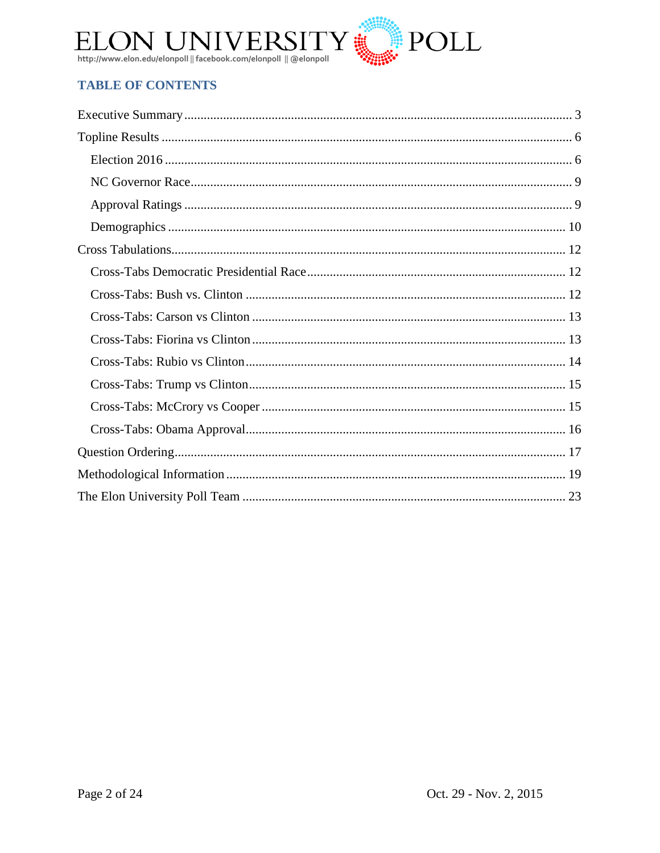

# **TABLE OF CONTENTS**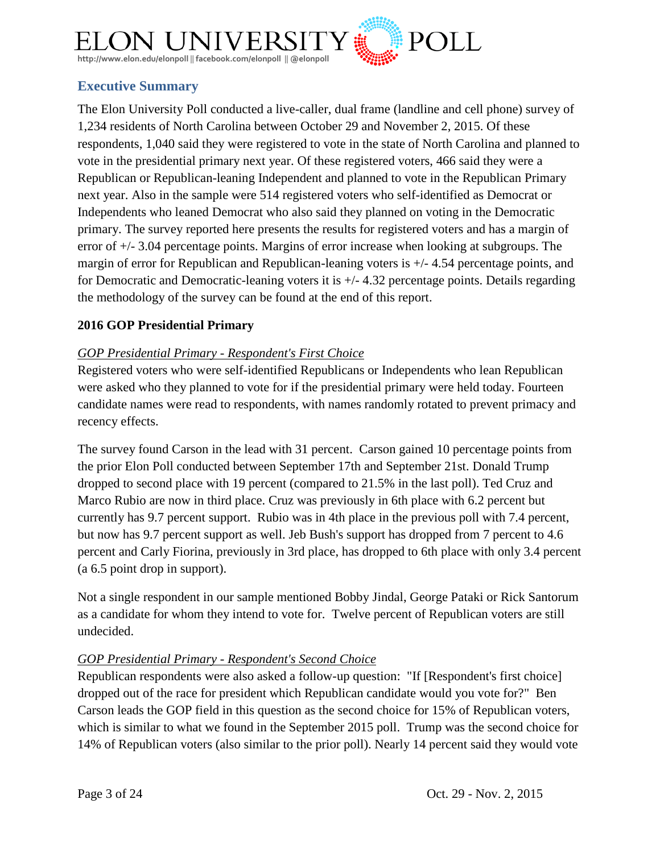

# <span id="page-2-0"></span>**Executive Summary**

The Elon University Poll conducted a live-caller, dual frame (landline and cell phone) survey of 1,234 residents of North Carolina between October 29 and November 2, 2015. Of these respondents, 1,040 said they were registered to vote in the state of North Carolina and planned to vote in the presidential primary next year. Of these registered voters, 466 said they were a Republican or Republican-leaning Independent and planned to vote in the Republican Primary next year. Also in the sample were 514 registered voters who self-identified as Democrat or Independents who leaned Democrat who also said they planned on voting in the Democratic primary. The survey reported here presents the results for registered voters and has a margin of error of +/- 3.04 percentage points. Margins of error increase when looking at subgroups. The margin of error for Republican and Republican-leaning voters is +/- 4.54 percentage points, and for Democratic and Democratic-leaning voters it is +/- 4.32 percentage points. Details regarding the methodology of the survey can be found at the end of this report.

## **2016 GOP Presidential Primary**

## *GOP Presidential Primary - Respondent's First Choice*

Registered voters who were self-identified Republicans or Independents who lean Republican were asked who they planned to vote for if the presidential primary were held today. Fourteen candidate names were read to respondents, with names randomly rotated to prevent primacy and recency effects.

The survey found Carson in the lead with 31 percent. Carson gained 10 percentage points from the prior Elon Poll conducted between September 17th and September 21st. Donald Trump dropped to second place with 19 percent (compared to 21.5% in the last poll). Ted Cruz and Marco Rubio are now in third place. Cruz was previously in 6th place with 6.2 percent but currently has 9.7 percent support. Rubio was in 4th place in the previous poll with 7.4 percent, but now has 9.7 percent support as well. Jeb Bush's support has dropped from 7 percent to 4.6 percent and Carly Fiorina, previously in 3rd place, has dropped to 6th place with only 3.4 percent (a 6.5 point drop in support).

Not a single respondent in our sample mentioned Bobby Jindal, George Pataki or Rick Santorum as a candidate for whom they intend to vote for. Twelve percent of Republican voters are still undecided.

## *GOP Presidential Primary - Respondent's Second Choice*

Republican respondents were also asked a follow-up question: "If [Respondent's first choice] dropped out of the race for president which Republican candidate would you vote for?" Ben Carson leads the GOP field in this question as the second choice for 15% of Republican voters, which is similar to what we found in the September 2015 poll. Trump was the second choice for 14% of Republican voters (also similar to the prior poll). Nearly 14 percent said they would vote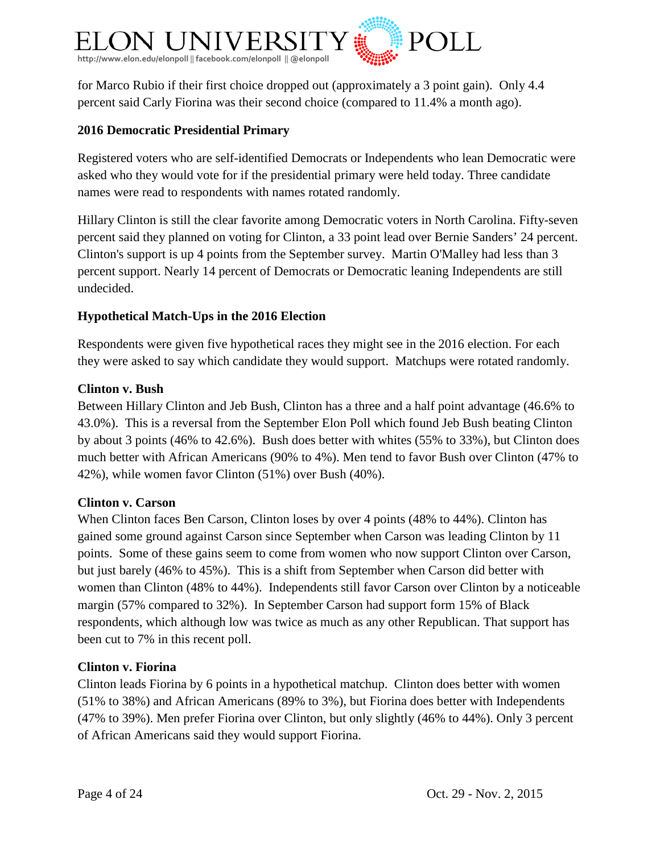

for Marco Rubio if their first choice dropped out (approximately a 3 point gain). Only 4.4 percent said Carly Fiorina was their second choice (compared to 11.4% a month ago).

## **2016 Democratic Presidential Primary**

Registered voters who are self-identified Democrats or Independents who lean Democratic were asked who they would vote for if the presidential primary were held today. Three candidate names were read to respondents with names rotated randomly.

Hillary Clinton is still the clear favorite among Democratic voters in North Carolina. Fifty-seven percent said they planned on voting for Clinton, a 33 point lead over Bernie Sanders' 24 percent. Clinton's support is up 4 points from the September survey. Martin O'Malley had less than 3 percent support. Nearly 14 percent of Democrats or Democratic leaning Independents are still undecided.

## **Hypothetical Match-Ups in the 2016 Election**

Respondents were given five hypothetical races they might see in the 2016 election. For each they were asked to say which candidate they would support. Matchups were rotated randomly.

#### **Clinton v. Bush**

Between Hillary Clinton and Jeb Bush, Clinton has a three and a half point advantage (46.6% to 43.0%). This is a reversal from the September Elon Poll which found Jeb Bush beating Clinton by about 3 points (46% to 42.6%). Bush does better with whites (55% to 33%), but Clinton does much better with African Americans (90% to 4%). Men tend to favor Bush over Clinton (47% to 42%), while women favor Clinton (51%) over Bush (40%).

#### **Clinton v. Carson**

When Clinton faces Ben Carson, Clinton loses by over 4 points (48% to 44%). Clinton has gained some ground against Carson since September when Carson was leading Clinton by 11 points. Some of these gains seem to come from women who now support Clinton over Carson, but just barely (46% to 45%). This is a shift from September when Carson did better with women than Clinton (48% to 44%). Independents still favor Carson over Clinton by a noticeable margin (57% compared to 32%). In September Carson had support form 15% of Black respondents, which although low was twice as much as any other Republican. That support has been cut to 7% in this recent poll.

#### **Clinton v. Fiorina**

Clinton leads Fiorina by 6 points in a hypothetical matchup. Clinton does better with women (51% to 38%) and African Americans (89% to 3%), but Fiorina does better with Independents (47% to 39%). Men prefer Fiorina over Clinton, but only slightly (46% to 44%). Only 3 percent of African Americans said they would support Fiorina.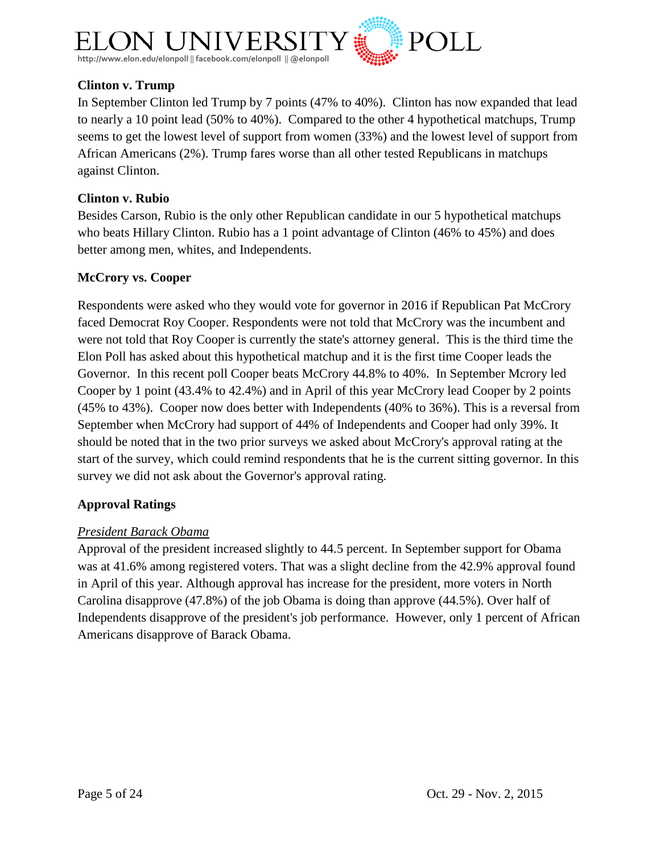

## **Clinton v. Trump**

In September Clinton led Trump by 7 points (47% to 40%). Clinton has now expanded that lead to nearly a 10 point lead (50% to 40%). Compared to the other 4 hypothetical matchups, Trump seems to get the lowest level of support from women (33%) and the lowest level of support from African Americans (2%). Trump fares worse than all other tested Republicans in matchups against Clinton.

## **Clinton v. Rubio**

Besides Carson, Rubio is the only other Republican candidate in our 5 hypothetical matchups who beats Hillary Clinton. Rubio has a 1 point advantage of Clinton (46% to 45%) and does better among men, whites, and Independents.

## **McCrory vs. Cooper**

Respondents were asked who they would vote for governor in 2016 if Republican Pat McCrory faced Democrat Roy Cooper. Respondents were not told that McCrory was the incumbent and were not told that Roy Cooper is currently the state's attorney general. This is the third time the Elon Poll has asked about this hypothetical matchup and it is the first time Cooper leads the Governor. In this recent poll Cooper beats McCrory 44.8% to 40%. In September Mcrory led Cooper by 1 point (43.4% to 42.4%) and in April of this year McCrory lead Cooper by 2 points (45% to 43%). Cooper now does better with Independents (40% to 36%). This is a reversal from September when McCrory had support of 44% of Independents and Cooper had only 39%. It should be noted that in the two prior surveys we asked about McCrory's approval rating at the start of the survey, which could remind respondents that he is the current sitting governor. In this survey we did not ask about the Governor's approval rating.

## **Approval Ratings**

## *President Barack Obama*

Approval of the president increased slightly to 44.5 percent. In September support for Obama was at 41.6% among registered voters. That was a slight decline from the 42.9% approval found in April of this year. Although approval has increase for the president, more voters in North Carolina disapprove (47.8%) of the job Obama is doing than approve (44.5%). Over half of Independents disapprove of the president's job performance. However, only 1 percent of African Americans disapprove of Barack Obama.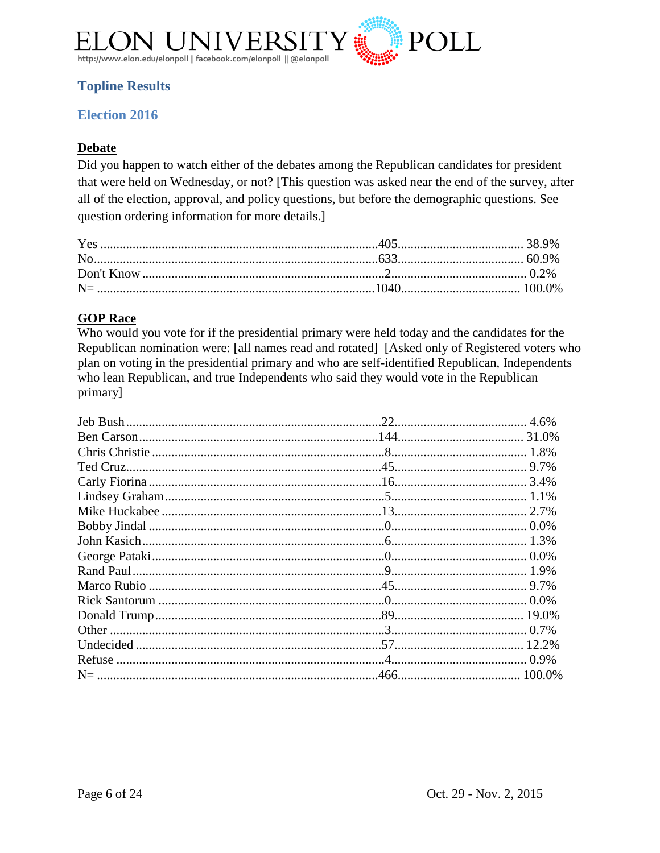

# <span id="page-5-0"></span>**Topline Results**

## <span id="page-5-1"></span>**Election 2016**

## **Debate**

Did you happen to watch either of the debates among the Republican candidates for president that were held on Wednesday, or not? [This question was asked near the end of the survey, after all of the election, approval, and policy questions, but before the demographic questions. See question ordering information for more details.]

## **GOP Race**

Who would you vote for if the presidential primary were held today and the candidates for the Republican nomination were: [all names read and rotated] [Asked only of Registered voters who plan on voting in the presidential primary and who are self-identified Republican, Independents who lean Republican, and true Independents who said they would vote in the Republican primary]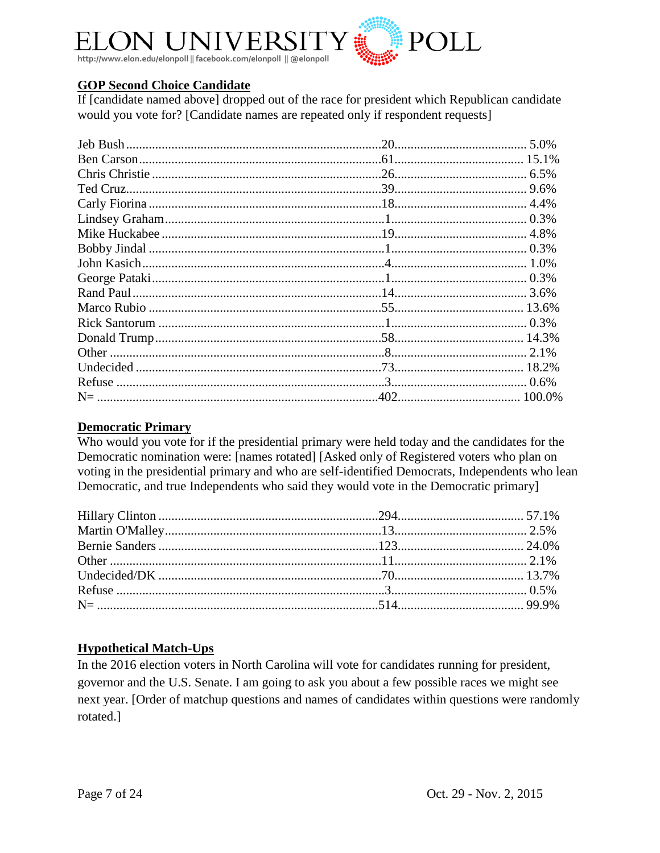

## **GOP Second Choice Candidate**

If [candidate named above] dropped out of the race for president which Republican candidate would you vote for? [Candidate names are repeated only if respondent requests]

#### **Democratic Primary**

Who would you vote for if the presidential primary were held today and the candidates for the Democratic nomination were: [names rotated] [Asked only of Registered voters who plan on voting in the presidential primary and who are self-identified Democrats, Independents who lean Democratic, and true Independents who said they would vote in the Democratic primary]

## **Hypothetical Match-Ups**

In the 2016 election voters in North Carolina will vote for candidates running for president, governor and the U.S. Senate. I am going to ask you about a few possible races we might see next year. [Order of matchup questions and names of candidates within questions were randomly rotated.]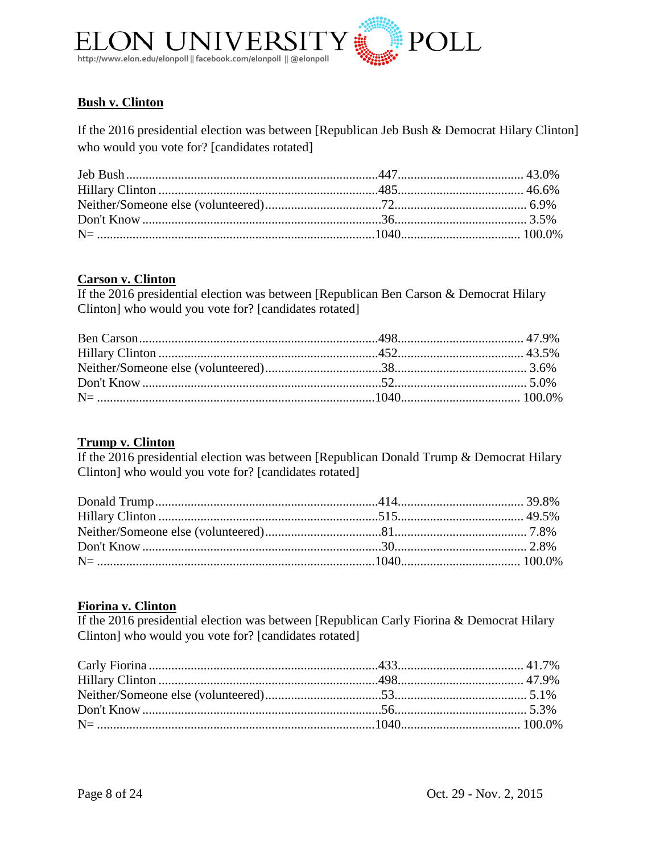

## **Bush v. Clinton**

If the 2016 presidential election was between [Republican Jeb Bush & Democrat Hilary Clinton] who would you vote for? [candidates rotated]

#### **Carson v. Clinton**

If the 2016 presidential election was between [Republican Ben Carson & Democrat Hilary Clinton] who would you vote for? [candidates rotated]

## **Trump v. Clinton**

If the 2016 presidential election was between [Republican Donald Trump & Democrat Hilary Clinton] who would you vote for? [candidates rotated]

#### **Fiorina v. Clinton**

If the 2016 presidential election was between [Republican Carly Fiorina & Democrat Hilary Clinton] who would you vote for? [candidates rotated]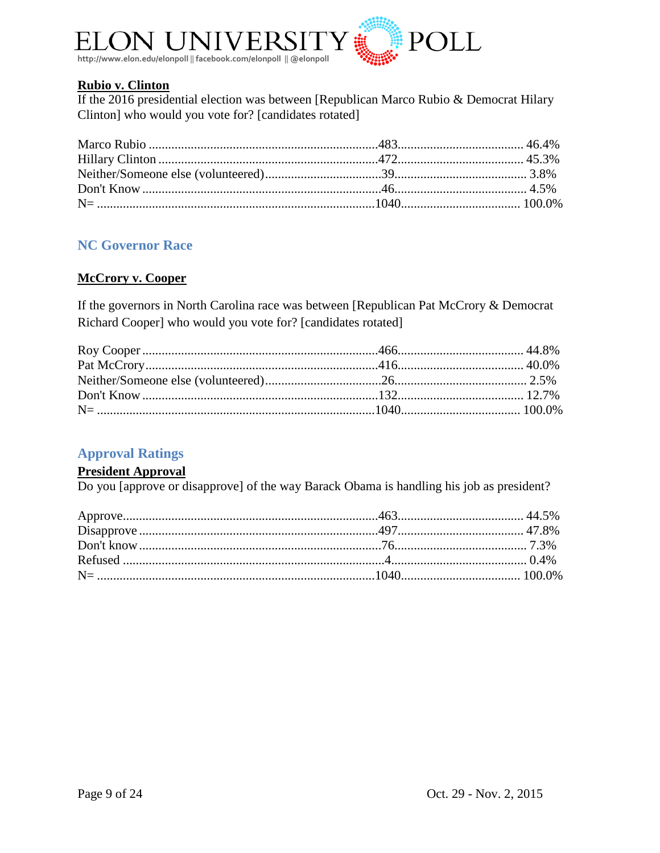

#### **Rubio v. Clinton**

If the 2016 presidential election was between [Republican Marco Rubio & Democrat Hilary Clinton] who would you vote for? [candidates rotated]

## <span id="page-8-0"></span>**NC Governor Race**

#### **McCrory v. Cooper**

If the governors in North Carolina race was between [Republican Pat McCrory & Democrat Richard Cooper] who would you vote for? [candidates rotated]

## <span id="page-8-1"></span>**Approval Ratings**

#### **President Approval**

Do you [approve or disapprove] of the way Barack Obama is handling his job as president?

<span id="page-8-2"></span>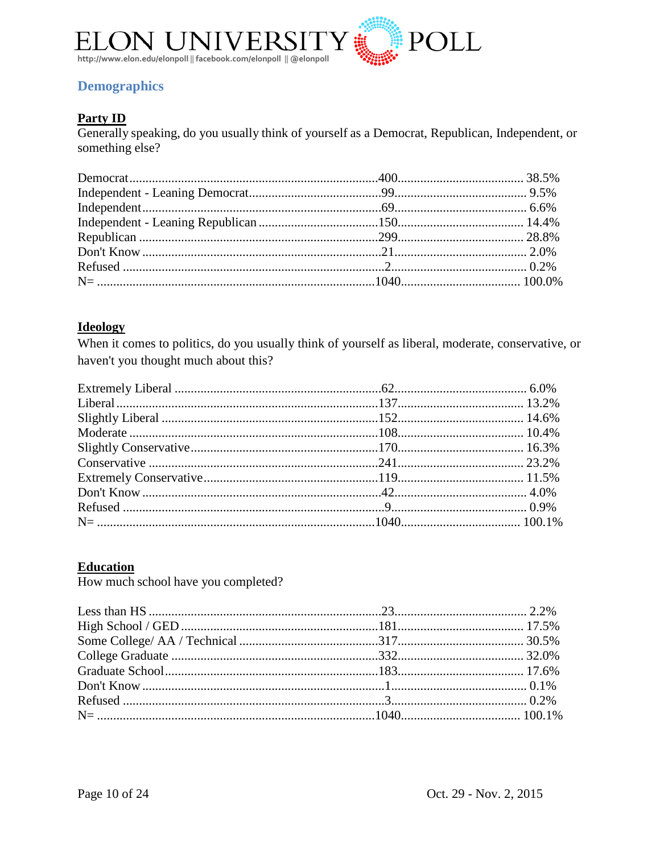

# **Demographics**

## **Party ID**

Generally speaking, do you usually think of yourself as a Democrat, Republican, Independent, or something else?

## **Ideology**

When it comes to politics, do you usually think of yourself as liberal, moderate, conservative, or haven't you thought much about this?

# **Education**

How much school have you completed?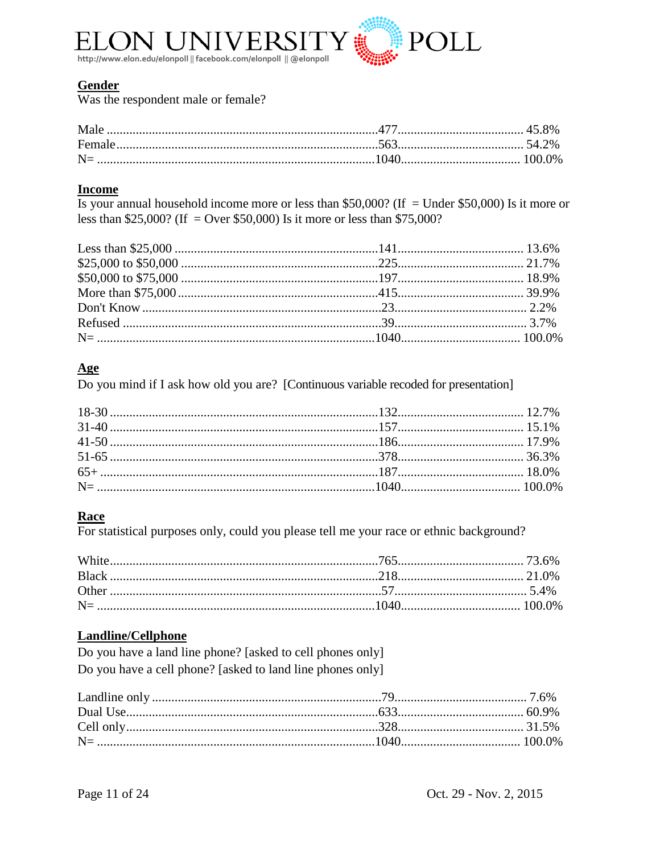

## **Gender**

Was the respondent male or female?

#### **Income**

Is your annual household income more or less than \$50,000? (If = Under \$50,000) Is it more or less than \$25,000? (If = Over \$50,000) Is it more or less than \$75,000?

#### Age

Do you mind if I ask how old you are? [Continuous variable recoded for presentation]

#### **Race**

For statistical purposes only, could you please tell me your race or ethnic background?

## **Landline/Cellphone**

Do you have a land line phone? [asked to cell phones only] Do you have a cell phone? [asked to land line phones only]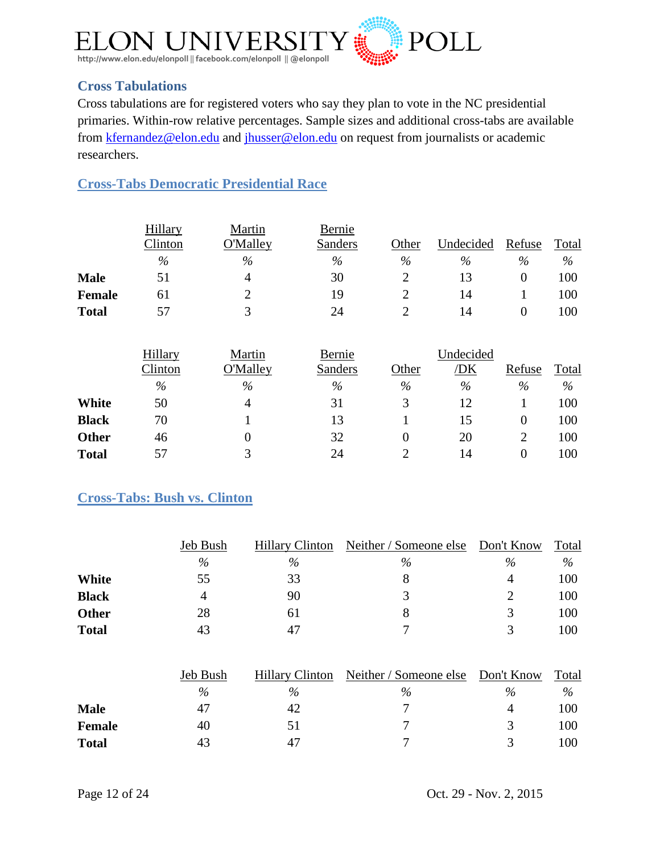

# <span id="page-11-0"></span>**Cross Tabulations**

Cross tabulations are for registered voters who say they plan to vote in the NC presidential primaries. Within-row relative percentages. Sample sizes and additional cross-tabs are available from [kfernandez@elon.edu](mailto:kfernandez@elon.edu) and [jhusser@elon.edu](mailto:jhusser@elon.edu) on request from journalists or academic researchers.

<span id="page-11-1"></span>**Cross-Tabs Democratic Presidential Race**

|               | Hillary | Martin          | Bernie  |       |           |        |       |
|---------------|---------|-----------------|---------|-------|-----------|--------|-------|
|               | Clinton | <b>O'Malley</b> | Sanders | Other | Undecided | Refuse | Total |
|               | %       | $\%$            | %       | $\%$  | $\%$      | $\%$   | $\%$  |
| <b>Male</b>   | 51      | 4               | 30      |       |           |        | 100   |
| <b>Female</b> | 61      |                 | 19      |       | 14        |        | 100   |
| <b>Total</b>  | 57      |                 | 24      |       | 14        |        | 100   |

|              | Hillary | Martin   | Bernie  |       | Undecided |        |       |
|--------------|---------|----------|---------|-------|-----------|--------|-------|
|              | Clinton | O'Malley | Sanders | Other | 'DK       | Refuse | Total |
|              | $\%$    | $\%$     | $\%$    | $\%$  | $\%$      | $\%$   | $\%$  |
| White        | 50      | 4        | 31      | 3     |           |        | 100   |
| <b>Black</b> | 70      |          | 13      |       | 15        |        | 100   |
| <b>Other</b> | 46      |          | 32      |       | 20        | າ      | 100   |
| <b>Total</b> | 57      |          | 24      |       | 14        |        | 100   |

## <span id="page-11-2"></span>**Cross-Tabs: Bush vs. Clinton**

|              | Jeb Bush | <b>Hillary Clinton</b> | Neither / Someone else Don't Know |      | Total |
|--------------|----------|------------------------|-----------------------------------|------|-------|
|              | %        | %                      | $\%$                              | $\%$ | $\%$  |
| White        | 55       | 33                     |                                   | 4    | 100   |
| <b>Black</b> | 4        | 90                     |                                   |      | 100   |
| <b>Other</b> | 28       | 61                     |                                   | 3    | 100   |
| <b>Total</b> | 43       | 47                     |                                   |      | 100   |

|               | Jeb Bush | <b>Hillary Clinton</b> | Neither / Someone else Don't Know |      | Total |
|---------------|----------|------------------------|-----------------------------------|------|-------|
|               | $\%$     | $\%$                   | $\%$                              | $\%$ | $\%$  |
| <b>Male</b>   | 47       | 42                     |                                   |      | 100   |
| <b>Female</b> | 40       | 5 I                    |                                   |      | 100   |
| <b>Total</b>  | 43       | 47                     |                                   |      | 100   |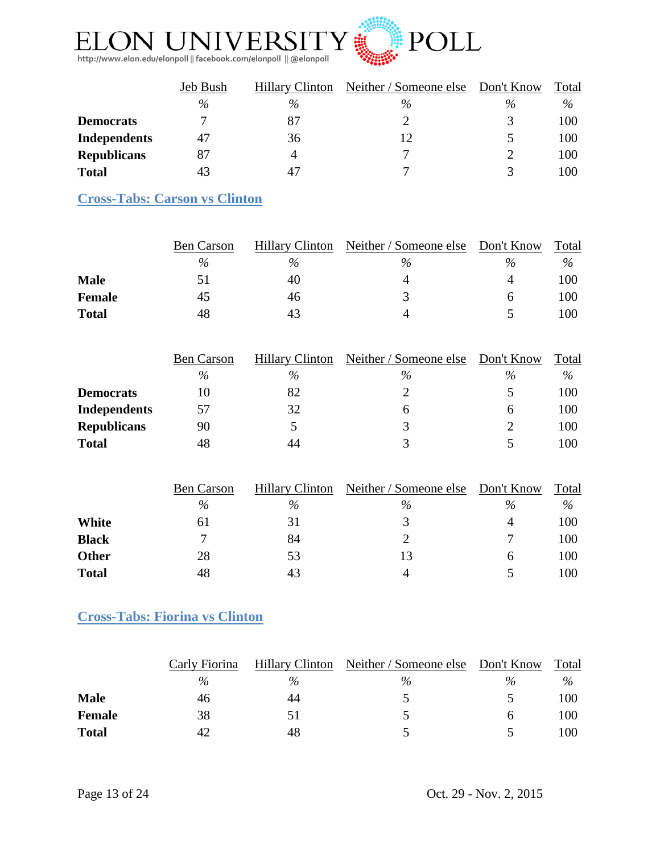

|                     | Jeb Bush | Neither / Someone else<br><b>Hillary Clinton</b> |      | Don't Know | Total |
|---------------------|----------|--------------------------------------------------|------|------------|-------|
|                     | $\%$     | $\%$                                             | $\%$ | $\%$       | $\%$  |
| <b>Democrats</b>    |          | 87                                               |      |            | 100   |
| <b>Independents</b> | 47       | 36                                               |      |            | 100   |
| <b>Republicans</b>  | 87       | 4                                                |      |            | 100   |
| <b>Total</b>        | 43       | 47                                               |      |            | 100   |

# <span id="page-12-0"></span>**Cross-Tabs: Carson vs Clinton**

|              | <b>Ben Carson</b> | <b>Hillary Clinton</b> | Neither / Someone else Don't Know |      | Total |
|--------------|-------------------|------------------------|-----------------------------------|------|-------|
|              | $\%$              | $\%$                   | $\%$                              | $\%$ | $\%$  |
| <b>Male</b>  |                   | 40                     |                                   | Д    | 100   |
| Female       | 45                | 46                     |                                   | h    | 100   |
| <b>Total</b> | 48                | 43                     |                                   |      | 100   |

|                     | <b>Ben Carson</b> | <b>Hillary Clinton</b> | Neither / Someone else | Don't Know | Total |
|---------------------|-------------------|------------------------|------------------------|------------|-------|
|                     | $\%$              | $\%$                   | $\%$                   | $\%$       | $\%$  |
| <b>Democrats</b>    | 10                | 82                     |                        |            | 100   |
| <b>Independents</b> | 57                | 32                     | n                      | h          | 100   |
| <b>Republicans</b>  | 90                |                        |                        |            | 100   |
| <b>Total</b>        | 48                | 44                     |                        |            | 100   |

|              | <b>Ben Carson</b> | <b>Hillary Clinton</b> | Neither / Someone else | Don't Know | Total |
|--------------|-------------------|------------------------|------------------------|------------|-------|
|              | %                 | $\%$                   | $\%$                   | $\%$       | $\%$  |
| White        | 61                | 31                     |                        | 4          | 100   |
| <b>Black</b> |                   | 84                     |                        |            | 100   |
| <b>Other</b> | 28                | 53                     | 13                     | h          | 100   |
| <b>Total</b> | 48                | 43                     | 4                      |            | 100   |

## <span id="page-12-1"></span>**Cross-Tabs: Fiorina vs Clinton**

|               | Carly Fiorina | <b>Hillary Clinton</b> | Neither / Someone else Don't Know |      | Total |
|---------------|---------------|------------------------|-----------------------------------|------|-------|
|               | $\%$          | $\%$                   | $\%$                              | $\%$ | $\%$  |
| <b>Male</b>   | 46            | 44                     |                                   |      | 100   |
| <b>Female</b> | 38            | 51                     |                                   |      | 100   |
| <b>Total</b>  |               | 48                     |                                   |      | 100   |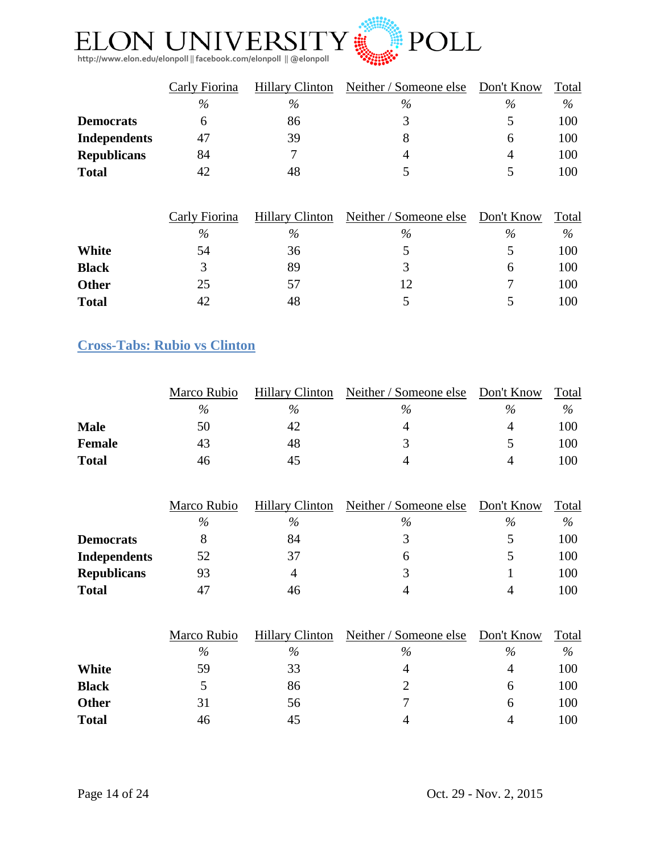

|                    | Carly Fiorina | <b>Hillary Clinton</b> | Neither / Someone else | Don't Know | Total |
|--------------------|---------------|------------------------|------------------------|------------|-------|
|                    | $\%$          | $\%$                   | %                      | $\%$       | $\%$  |
| <b>Democrats</b>   |               | 86                     |                        |            | 100   |
| Independents       | 47            | 39                     |                        | h          | 100   |
| <b>Republicans</b> | 84            |                        | 4                      | 4          | 100   |
| <b>Total</b>       | 42            | 48                     |                        |            | 100   |

|              | Carly Fiorina | <b>Hillary Clinton</b> | Neither / Someone else | Don't Know | Total |
|--------------|---------------|------------------------|------------------------|------------|-------|
|              | $\%$          | $\%$                   | $\%$                   | %          | %     |
| White        | 54            | 36                     |                        |            | 100   |
| <b>Black</b> |               | 89                     |                        | h          | 100   |
| <b>Other</b> | 25            | 57                     | 12                     |            | 100   |
| <b>Total</b> | 42            | 48                     |                        |            | 100   |

## <span id="page-13-0"></span>**Cross-Tabs: Rubio vs Clinton**

|               | Marco Rubio | <b>Hillary Clinton</b> | Neither / Someone else | Don't Know | Total |
|---------------|-------------|------------------------|------------------------|------------|-------|
|               | $\%$        | $\%$                   | $\%$                   | $\%$       | %     |
| <b>Male</b>   | 50          | 42                     |                        |            | 100   |
| <b>Female</b> | 43          | 48                     |                        |            | 100   |
| <b>Total</b>  | 46          |                        |                        |            | 100   |

|                     | Marco Rubio | <b>Hillary Clinton</b> | Neither / Someone else | Don't Know | Total |
|---------------------|-------------|------------------------|------------------------|------------|-------|
|                     | $\%$        | $\%$                   | $\%$                   | $\%$       | $\%$  |
| <b>Democrats</b>    |             | 84                     |                        |            | 100   |
| <b>Independents</b> | 52          | 37                     |                        |            | 100   |
| <b>Republicans</b>  | 93          |                        |                        |            | 100   |
| <b>Total</b>        | 47          | 46                     | 4                      |            | 100   |

|              | Marco Rubio | <b>Hillary Clinton</b> | Neither / Someone else | Don't Know | Total |
|--------------|-------------|------------------------|------------------------|------------|-------|
|              | $\%$        | $\%$                   | $\%$                   | $\%$       | %     |
| White        | 59          | 33                     | 4                      | 4          | 100   |
| <b>Black</b> |             | 86                     |                        | h          | 100   |
| <b>Other</b> | 31          | 56                     |                        | h          | 100   |
| <b>Total</b> | 46          | 45                     | 4                      | 4          | 100   |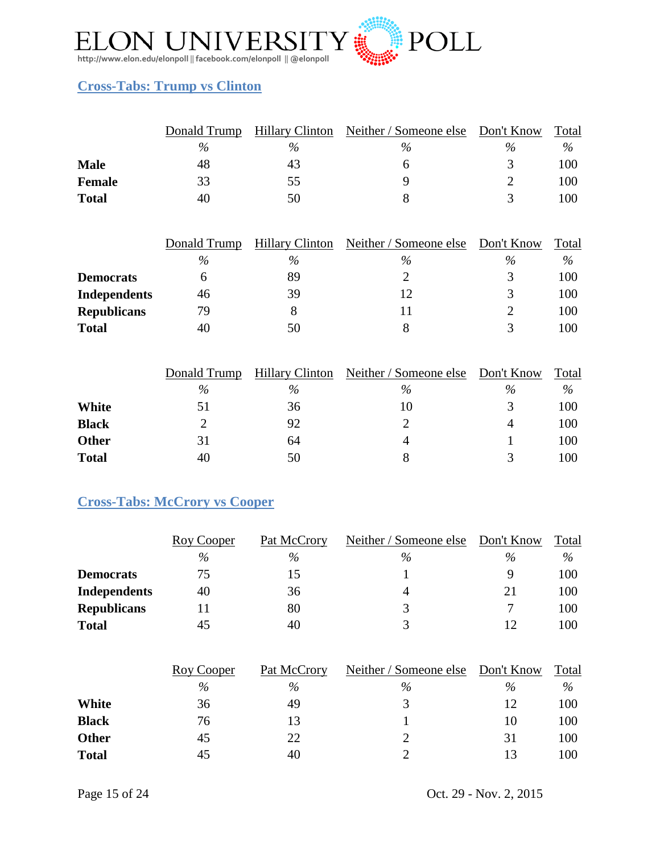

## <span id="page-14-0"></span>**Cross-Tabs: Trump vs Clinton**

|               |      | Donald Trump Hillary Clinton | Neither / Someone else Don't Know |      | Total |
|---------------|------|------------------------------|-----------------------------------|------|-------|
|               | $\%$ | $\%$                         | $\%$                              | $\%$ | $\%$  |
| <b>Male</b>   | 48   | 43                           |                                   |      | 100   |
| <b>Female</b> | 33   | 55                           |                                   |      | 100   |
| <b>Total</b>  | 40   | 50                           |                                   |      | l 00  |

|                     | Donald Trump | <b>Hillary Clinton</b> | Neither / Someone else | Don't Know | Total |
|---------------------|--------------|------------------------|------------------------|------------|-------|
|                     | $\%$         | $\%$                   | $\%$                   | $\%$       | $\%$  |
| <b>Democrats</b>    |              | 89                     |                        |            | 100   |
| <b>Independents</b> | 46           | 39                     |                        | 3          | 100   |
| <b>Republicans</b>  | 79           |                        |                        |            | 100   |
| <b>Total</b>        | 40           | 50                     |                        |            | 100   |

|              | Donald Trump | <b>Hillary Clinton</b> | Neither / Someone else | Don't Know | Total |
|--------------|--------------|------------------------|------------------------|------------|-------|
|              | $\%$         | $\%$                   | $\%$                   | $\%$       | $\%$  |
| White        | 51           | 36                     | 10                     |            | 100   |
| <b>Black</b> |              | 92                     |                        | 4          | 100   |
| <b>Other</b> | 31           | 64                     |                        |            | 100   |
| <b>Total</b> | 40           | 50                     |                        | ≺          | 100   |

## <span id="page-14-1"></span>**Cross-Tabs: McCrory vs Cooper**

|                     | Roy Cooper | Pat McCrory | Neither / Someone else | Don't Know | Total |
|---------------------|------------|-------------|------------------------|------------|-------|
|                     | $\%$       | %           | $\%$                   | %          | $\%$  |
| <b>Democrats</b>    | 75         | 15          |                        |            | 100   |
| <b>Independents</b> | 40         | 36          | 4                      | 21         | 100   |
| <b>Republicans</b>  |            | 80          |                        |            | 100   |
| <b>Total</b>        | 45         | 40          |                        | 12         | 100   |

|              | Roy Cooper | Pat McCrory | Neither / Someone else | Don't Know | Total |
|--------------|------------|-------------|------------------------|------------|-------|
|              | $\%$       | $\%$        | $\%$                   | $\%$       | $\%$  |
| White        | 36         | 49          |                        | 12         | 100   |
| <b>Black</b> | 76         | 13          |                        | 10         | 100   |
| <b>Other</b> | 45         | 22          |                        | 31         | 100   |
| <b>Total</b> | 45         | 40          |                        | 13         | 100   |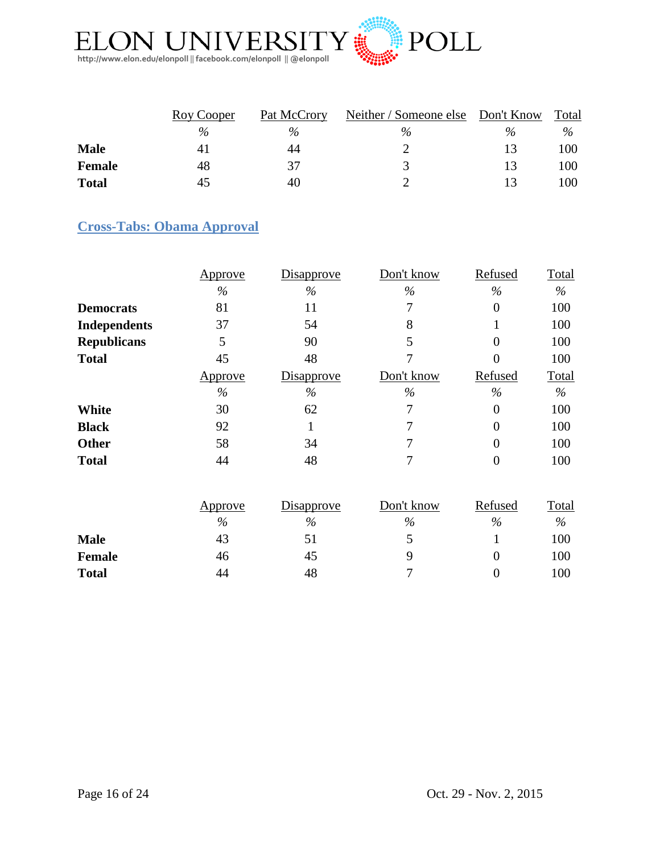

|               | Roy Cooper | Pat McCrory | Neither / Someone else Don't Know |      | Total |
|---------------|------------|-------------|-----------------------------------|------|-------|
|               | $\%$       | $\%$        | $\%$                              | $\%$ | $\%$  |
| <b>Male</b>   | 41         | 44          |                                   |      | 100   |
| <b>Female</b> | 48         | 37          |                                   |      | 100   |
| <b>Total</b>  | 45         | 40          |                                   |      | 100   |

# <span id="page-15-0"></span>**Cross-Tabs: Obama Approval**

|                     | Approve        | <b>Disapprove</b> | Don't know | Refused              | <b>Total</b>             |
|---------------------|----------------|-------------------|------------|----------------------|--------------------------|
|                     | $\%$           | $\%$              | $\%$       | $\%$                 | $\%$                     |
| <b>Democrats</b>    | 81             | 11                | 7          | $\overline{0}$       | 100                      |
| <b>Independents</b> | 37             | 54                | 8          |                      | 100                      |
| <b>Republicans</b>  | 5              | 90                | 5          | $\overline{0}$       | 100                      |
| <b>Total</b>        | 45             | 48                |            | $\overline{0}$       | 100                      |
|                     | <u>Approve</u> | <b>Disapprove</b> | Don't know | Refused              | Total                    |
|                     | $\%$           | $\%$              | $\%$       | $\frac{0}{0}$        | $\%$                     |
| <b>White</b>        | 30             | 62                | 7          | $\overline{0}$       | 100                      |
| <b>Black</b>        | 92             |                   |            | $\overline{0}$       | 100                      |
| <b>Other</b>        | 58             | 34                | 7          | $\theta$             | 100                      |
| <b>Total</b>        | 44             | 48                | 7          | $\overline{0}$       | 100                      |
|                     |                |                   |            |                      |                          |
|                     |                | $ \cdot$          | $  -$      | $\sim$ $\sim$ $\sim$ | $\overline{\phantom{a}}$ |

|               | Approve | <b>Disapprove</b> | Don't know | Refused | Total |
|---------------|---------|-------------------|------------|---------|-------|
|               | $\%$    | $\%$              | $\%$       | $\%$    | $\%$  |
| <b>Male</b>   | 43      | 51                |            |         | 100   |
| <b>Female</b> | 46      | 45                |            |         | 100   |
| <b>Total</b>  | 44      | 48                |            |         | 100   |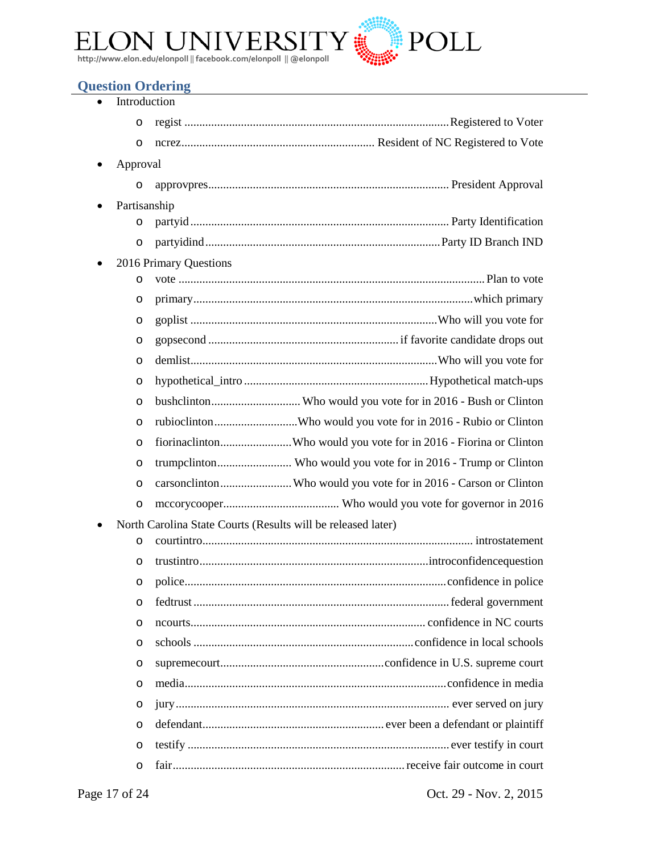

## <span id="page-16-0"></span>**Question Ordering**

|          | Introduction                                                      |
|----------|-------------------------------------------------------------------|
| O        |                                                                   |
| O        |                                                                   |
| Approval |                                                                   |
| O        |                                                                   |
|          | Partisanship                                                      |
| O        |                                                                   |
| O        |                                                                   |
|          | 2016 Primary Questions                                            |
| O        |                                                                   |
| O        |                                                                   |
| O        |                                                                   |
| O        |                                                                   |
| $\circ$  |                                                                   |
| $\circ$  |                                                                   |
| O        |                                                                   |
| $\circ$  |                                                                   |
| O        | fiorinaclintonWho would you vote for in 2016 - Fiorina or Clinton |
| O        |                                                                   |
| $\circ$  | carsonclintonWho would you vote for in 2016 - Carson or Clinton   |
| O        |                                                                   |
|          | North Carolina State Courts (Results will be released later)      |
| O        |                                                                   |
| O        |                                                                   |
| O        |                                                                   |
| $\circ$  |                                                                   |
| O        |                                                                   |
| $\circ$  |                                                                   |
| O        |                                                                   |
| $\circ$  |                                                                   |
| O        |                                                                   |
| $\circ$  |                                                                   |
| $\circ$  |                                                                   |
| O        |                                                                   |

Page 17 of 24 Oct. 29 - Nov. 2, 2015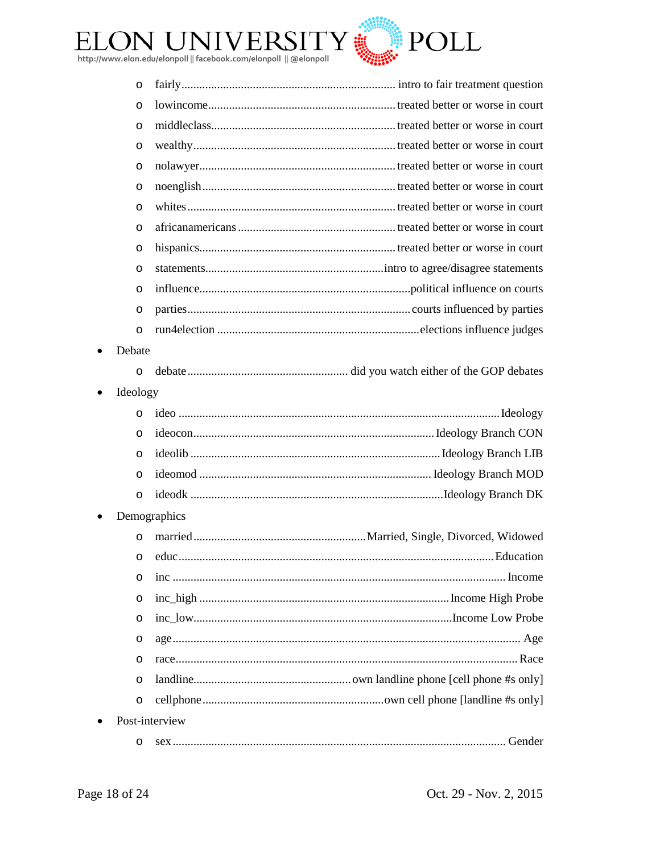

| $\circ$               |                |
|-----------------------|----------------|
| $\circ$               |                |
| $\circ$               |                |
| $\circ$               |                |
| $\circ$               |                |
| $\circ$               |                |
| $\circ$               |                |
| $\circ$               |                |
| O                     |                |
| O                     |                |
| $\circ$               |                |
| $\circ$               |                |
| $\circ$               |                |
| Debate                |                |
| $\circ$               |                |
| Ideology<br>$\bullet$ |                |
| $\circ$               |                |
| $\circ$               |                |
| $\circ$               |                |
| $\circ$               |                |
| $\circ$               |                |
|                       | Demographics   |
| $\circ$               |                |
| $\circ$               |                |
| O                     |                |
| O                     |                |
| O                     |                |
| O                     |                |
| O                     |                |
| $\circ$               |                |
| $\circ$               |                |
|                       | Post-interview |
| O                     |                |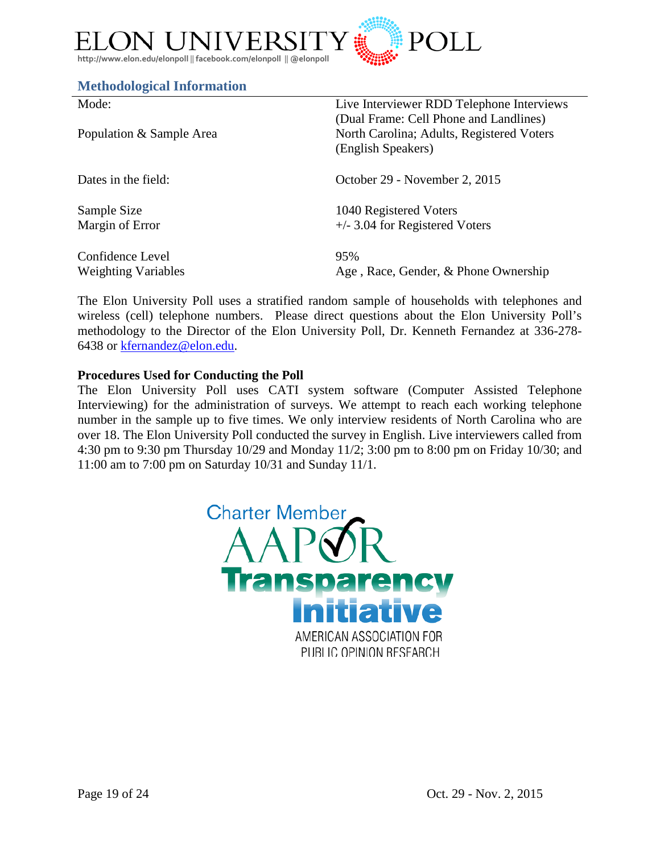

#### <span id="page-18-0"></span>**Methodological Information**

| Mode:                      | Live Interviewer RDD Telephone Interviews                                           |
|----------------------------|-------------------------------------------------------------------------------------|
| Population & Sample Area   | (Dual Frame: Cell Phone and Landlines)<br>North Carolina; Adults, Registered Voters |
|                            | (English Speakers)                                                                  |
| Dates in the field:        | October 29 - November 2, 2015                                                       |
| Sample Size                | 1040 Registered Voters                                                              |
| Margin of Error            | $+/-$ 3.04 for Registered Voters                                                    |
| Confidence Level           | 95%                                                                                 |
| <b>Weighting Variables</b> | Age, Race, Gender, & Phone Ownership                                                |

The Elon University Poll uses a stratified random sample of households with telephones and wireless (cell) telephone numbers. Please direct questions about the Elon University Poll's methodology to the Director of the Elon University Poll, Dr. Kenneth Fernandez at 336-278- 6438 or [kfernandez@elon.edu.](mailto:kfernandez@elon.edu)

#### **Procedures Used for Conducting the Poll**

The Elon University Poll uses CATI system software (Computer Assisted Telephone Interviewing) for the administration of surveys. We attempt to reach each working telephone number in the sample up to five times. We only interview residents of North Carolina who are over 18. The Elon University Poll conducted the survey in English. Live interviewers called from 4:30 pm to 9:30 pm Thursday 10/29 and Monday 11/2; 3:00 pm to 8:00 pm on Friday 10/30; and 11:00 am to 7:00 pm on Saturday 10/31 and Sunday 11/1.

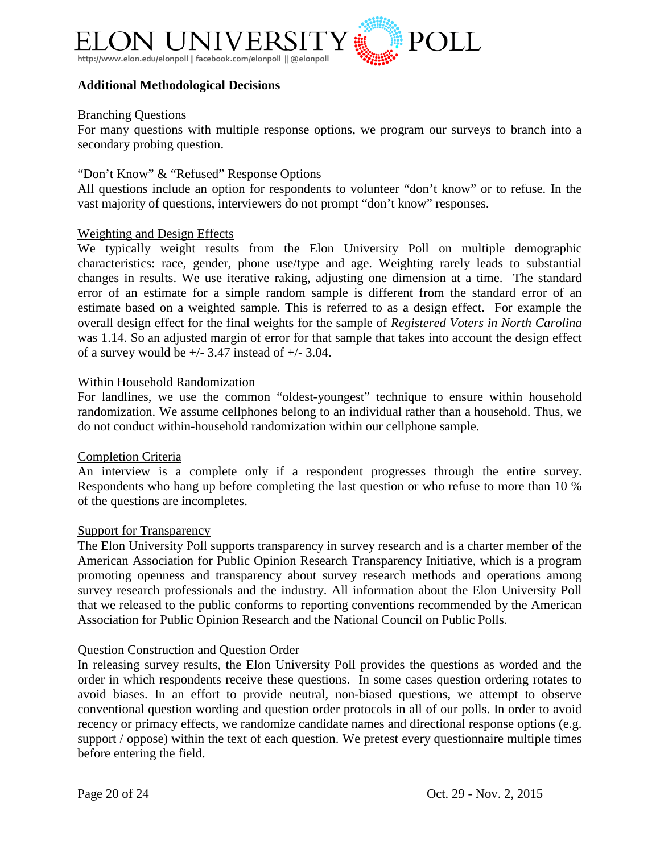

#### **Additional Methodological Decisions**

#### Branching Questions

For many questions with multiple response options, we program our surveys to branch into a secondary probing question.

#### "Don't Know" & "Refused" Response Options

All questions include an option for respondents to volunteer "don't know" or to refuse. In the vast majority of questions, interviewers do not prompt "don't know" responses.

#### Weighting and Design Effects

We typically weight results from the Elon University Poll on multiple demographic characteristics: race, gender, phone use/type and age. Weighting rarely leads to substantial changes in results. We use iterative raking, adjusting one dimension at a time. The standard error of an estimate for a simple random sample is different from the standard error of an estimate based on a weighted sample. This is referred to as a design effect. For example the overall design effect for the final weights for the sample of *Registered Voters in North Carolina* was 1.14. So an adjusted margin of error for that sample that takes into account the design effect of a survey would be  $+/- 3.47$  instead of  $+/- 3.04$ .

#### Within Household Randomization

For landlines, we use the common "oldest-youngest" technique to ensure within household randomization. We assume cellphones belong to an individual rather than a household. Thus, we do not conduct within-household randomization within our cellphone sample.

#### Completion Criteria

An interview is a complete only if a respondent progresses through the entire survey. Respondents who hang up before completing the last question or who refuse to more than 10 % of the questions are incompletes.

#### Support for Transparency

The Elon University Poll supports transparency in survey research and is a charter member of the American Association for Public Opinion Research Transparency Initiative, which is a program promoting openness and transparency about survey research methods and operations among survey research professionals and the industry. All information about the Elon University Poll that we released to the public conforms to reporting conventions recommended by the American Association for Public Opinion Research and the National Council on Public Polls.

#### Question Construction and Question Order

In releasing survey results, the Elon University Poll provides the questions as worded and the order in which respondents receive these questions. In some cases question ordering rotates to avoid biases. In an effort to provide neutral, non-biased questions, we attempt to observe conventional question wording and question order protocols in all of our polls. In order to avoid recency or primacy effects, we randomize candidate names and directional response options (e.g. support / oppose) within the text of each question. We pretest every questionnaire multiple times before entering the field.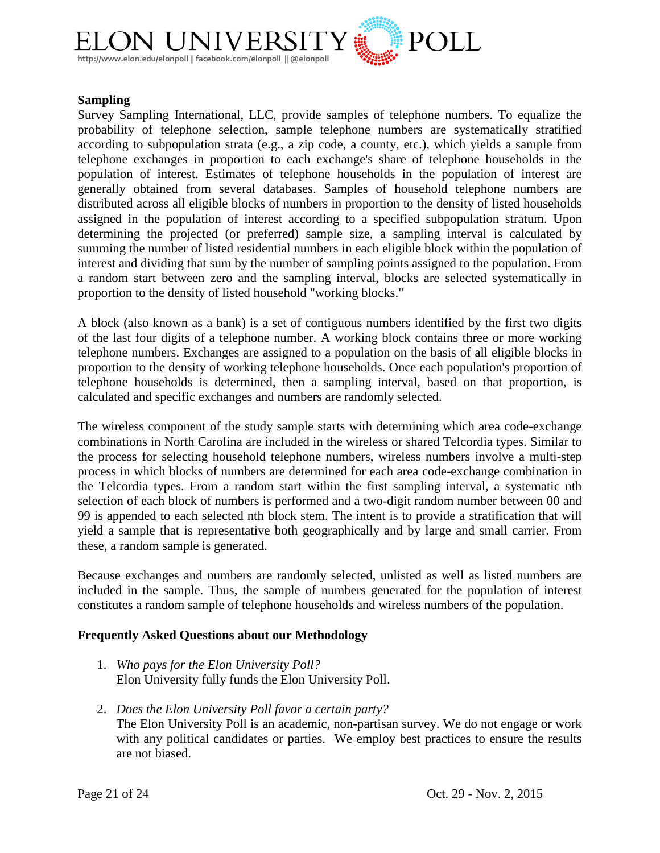

#### **Sampling**

Survey Sampling International, LLC, provide samples of telephone numbers. To equalize the probability of telephone selection, sample telephone numbers are systematically stratified according to subpopulation strata (e.g., a zip code, a county, etc.), which yields a sample from telephone exchanges in proportion to each exchange's share of telephone households in the population of interest. Estimates of telephone households in the population of interest are generally obtained from several databases. Samples of household telephone numbers are distributed across all eligible blocks of numbers in proportion to the density of listed households assigned in the population of interest according to a specified subpopulation stratum. Upon determining the projected (or preferred) sample size, a sampling interval is calculated by summing the number of listed residential numbers in each eligible block within the population of interest and dividing that sum by the number of sampling points assigned to the population. From a random start between zero and the sampling interval, blocks are selected systematically in proportion to the density of listed household "working blocks."

A block (also known as a bank) is a set of contiguous numbers identified by the first two digits of the last four digits of a telephone number. A working block contains three or more working telephone numbers. Exchanges are assigned to a population on the basis of all eligible blocks in proportion to the density of working telephone households. Once each population's proportion of telephone households is determined, then a sampling interval, based on that proportion, is calculated and specific exchanges and numbers are randomly selected.

The wireless component of the study sample starts with determining which area code-exchange combinations in North Carolina are included in the wireless or shared Telcordia types. Similar to the process for selecting household telephone numbers, wireless numbers involve a multi-step process in which blocks of numbers are determined for each area code-exchange combination in the Telcordia types. From a random start within the first sampling interval, a systematic nth selection of each block of numbers is performed and a two-digit random number between 00 and 99 is appended to each selected nth block stem. The intent is to provide a stratification that will yield a sample that is representative both geographically and by large and small carrier. From these, a random sample is generated.

Because exchanges and numbers are randomly selected, unlisted as well as listed numbers are included in the sample. Thus, the sample of numbers generated for the population of interest constitutes a random sample of telephone households and wireless numbers of the population.

#### **Frequently Asked Questions about our Methodology**

- 1. *Who pays for the Elon University Poll?* Elon University fully funds the Elon University Poll.
- 2. *Does the Elon University Poll favor a certain party?* The Elon University Poll is an academic, non-partisan survey. We do not engage or work with any political candidates or parties. We employ best practices to ensure the results are not biased.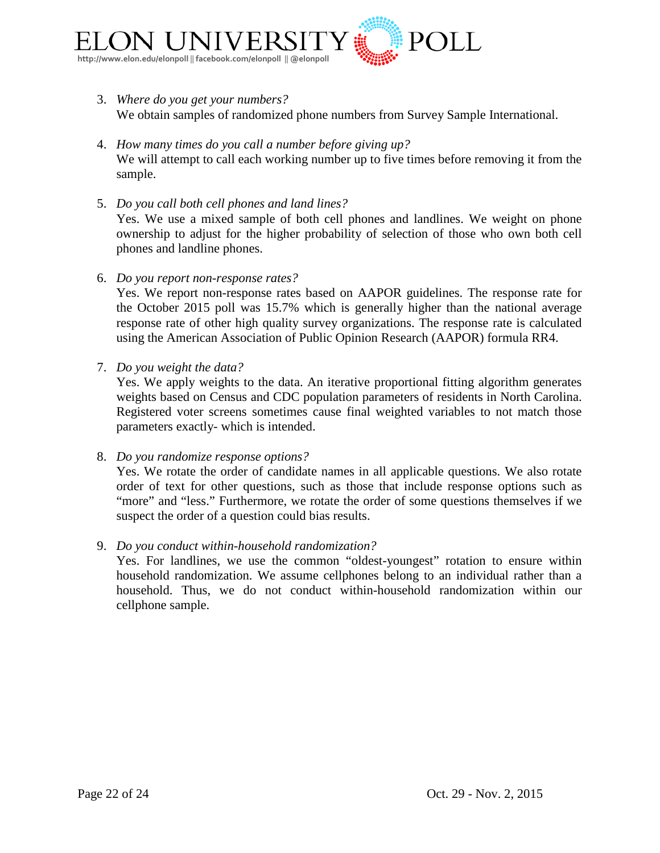

- 3. *Where do you get your numbers?* We obtain samples of randomized phone numbers from Survey Sample International.
- 4. *How many times do you call a number before giving up?* We will attempt to call each working number up to five times before removing it from the sample.
- 5. *Do you call both cell phones and land lines?* Yes. We use a mixed sample of both cell phones and landlines. We weight on phone ownership to adjust for the higher probability of selection of those who own both cell phones and landline phones.
- 6. *Do you report non-response rates?*

Yes. We report non-response rates based on AAPOR guidelines. The response rate for the October 2015 poll was 15.7% which is generally higher than the national average response rate of other high quality survey organizations. The response rate is calculated using the American Association of Public Opinion Research (AAPOR) formula RR4.

7. *Do you weight the data?*

Yes. We apply weights to the data. An iterative proportional fitting algorithm generates weights based on Census and CDC population parameters of residents in North Carolina. Registered voter screens sometimes cause final weighted variables to not match those parameters exactly- which is intended.

8. *Do you randomize response options?*

Yes. We rotate the order of candidate names in all applicable questions. We also rotate order of text for other questions, such as those that include response options such as "more" and "less." Furthermore, we rotate the order of some questions themselves if we suspect the order of a question could bias results.

#### 9. *Do you conduct within-household randomization?*

Yes. For landlines, we use the common "oldest-youngest" rotation to ensure within household randomization. We assume cellphones belong to an individual rather than a household. Thus, we do not conduct within-household randomization within our cellphone sample.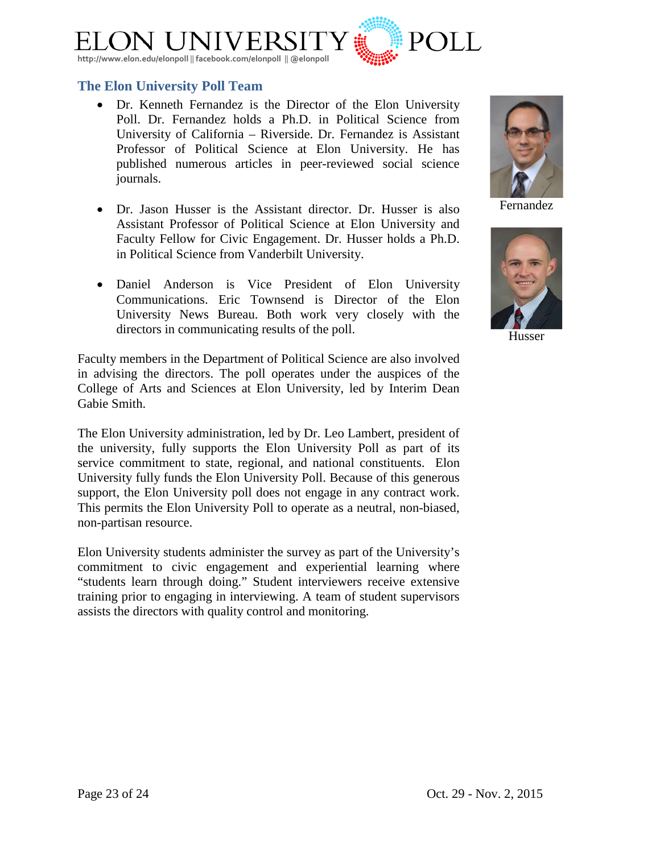

## <span id="page-22-0"></span>**The Elon University Poll Team**

- [Dr. Kenneth Fernandez](http://www.elon.edu/directories/profile/?user=kfernandez) is the Director of the Elon University Poll. Dr. Fernandez holds a Ph.D. in Political Science from University of California – Riverside. Dr. Fernandez is Assistant Professor of Political Science at Elon University. He has published numerous articles in peer-reviewed social science journals.
- [Dr. Jason Husser](http://www.elon.edu/directories/profile/?user=jhusser) is the Assistant director. Dr. Husser is also Assistant Professor of Political Science at Elon University and Faculty Fellow for Civic Engagement. Dr. Husser holds a Ph.D. in Political Science from Vanderbilt University.
- Daniel Anderson is Vice President of Elon University Communications. Eric Townsend is Director of the Elon University News Bureau. Both work very closely with the directors in communicating results of the poll.

Faculty members in the Department of Political Science are also involved in advising the directors. The poll operates under the auspices of the College of Arts and Sciences at Elon University, led by Interim Dean Gabie Smith.

The Elon University administration, led by Dr. Leo Lambert, president of the university, fully supports the Elon University Poll as part of its service commitment to state, regional, and national constituents. Elon University fully funds the Elon University Poll. Because of this generous support, the Elon University poll does not engage in any contract work. This permits the Elon University Poll to operate as a neutral, non-biased, non-partisan resource.

Elon University students administer the survey as part of the University's commitment to civic engagement and experiential learning where "students learn through doing." Student interviewers receive extensive training prior to engaging in interviewing. A team of student supervisors assists the directors with quality control and monitoring.

Fernandez



Husser